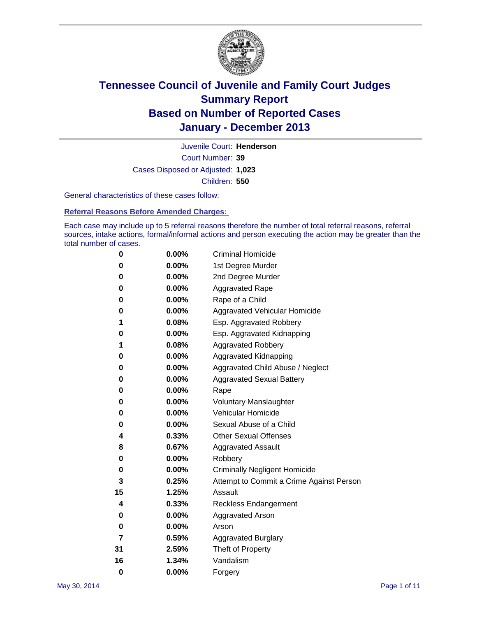

Court Number: **39** Juvenile Court: **Henderson** Cases Disposed or Adjusted: **1,023** Children: **550**

General characteristics of these cases follow:

**Referral Reasons Before Amended Charges:** 

Each case may include up to 5 referral reasons therefore the number of total referral reasons, referral sources, intake actions, formal/informal actions and person executing the action may be greater than the total number of cases.

| 0        | 0.00%    | <b>Criminal Homicide</b>                 |
|----------|----------|------------------------------------------|
| 0        | 0.00%    | 1st Degree Murder                        |
| 0        | 0.00%    | 2nd Degree Murder                        |
| 0        | $0.00\%$ | <b>Aggravated Rape</b>                   |
| 0        | 0.00%    | Rape of a Child                          |
| 0        | 0.00%    | <b>Aggravated Vehicular Homicide</b>     |
| 1        | 0.08%    | Esp. Aggravated Robbery                  |
| 0        | 0.00%    | Esp. Aggravated Kidnapping               |
| 1        | 0.08%    | <b>Aggravated Robbery</b>                |
| 0        | 0.00%    | Aggravated Kidnapping                    |
| 0        | 0.00%    | Aggravated Child Abuse / Neglect         |
| 0        | 0.00%    | <b>Aggravated Sexual Battery</b>         |
| 0        | $0.00\%$ | Rape                                     |
| 0        | 0.00%    | <b>Voluntary Manslaughter</b>            |
| 0        | 0.00%    | Vehicular Homicide                       |
| 0        | $0.00\%$ | Sexual Abuse of a Child                  |
| 4        | 0.33%    | <b>Other Sexual Offenses</b>             |
| 8        | 0.67%    | <b>Aggravated Assault</b>                |
| 0        | 0.00%    | Robbery                                  |
| 0        | 0.00%    | <b>Criminally Negligent Homicide</b>     |
| 3        | 0.25%    | Attempt to Commit a Crime Against Person |
| 15       | 1.25%    | Assault                                  |
| 4        | 0.33%    | <b>Reckless Endangerment</b>             |
| 0        | 0.00%    | <b>Aggravated Arson</b>                  |
| 0        | $0.00\%$ | Arson                                    |
| 7        | 0.59%    | <b>Aggravated Burglary</b>               |
| 31       | 2.59%    | Theft of Property                        |
| 16       | 1.34%    | Vandalism                                |
| $\bf{0}$ | 0.00%    | Forgery                                  |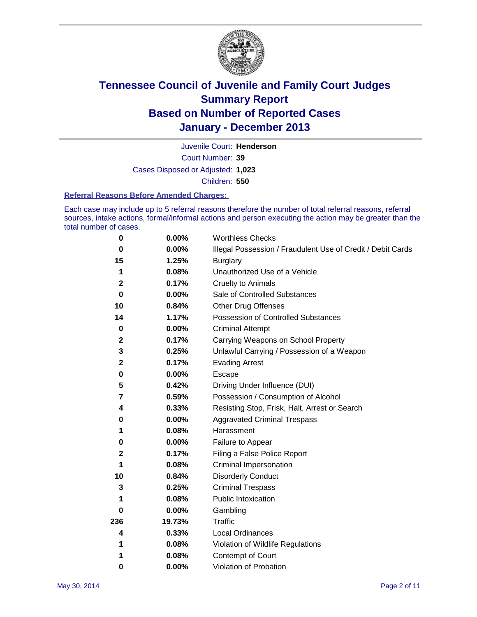

Court Number: **39** Juvenile Court: **Henderson** Cases Disposed or Adjusted: **1,023** Children: **550**

#### **Referral Reasons Before Amended Charges:**

Each case may include up to 5 referral reasons therefore the number of total referral reasons, referral sources, intake actions, formal/informal actions and person executing the action may be greater than the total number of cases.

| 0           | 0.00%  | <b>Worthless Checks</b>                                     |
|-------------|--------|-------------------------------------------------------------|
| 0           | 0.00%  | Illegal Possession / Fraudulent Use of Credit / Debit Cards |
| 15          | 1.25%  | <b>Burglary</b>                                             |
| 1           | 0.08%  | Unauthorized Use of a Vehicle                               |
| $\mathbf 2$ | 0.17%  | <b>Cruelty to Animals</b>                                   |
| $\bf{0}$    | 0.00%  | Sale of Controlled Substances                               |
| 10          | 0.84%  | <b>Other Drug Offenses</b>                                  |
| 14          | 1.17%  | Possession of Controlled Substances                         |
| $\pmb{0}$   | 0.00%  | <b>Criminal Attempt</b>                                     |
| $\mathbf 2$ | 0.17%  | Carrying Weapons on School Property                         |
| 3           | 0.25%  | Unlawful Carrying / Possession of a Weapon                  |
| $\mathbf 2$ | 0.17%  | <b>Evading Arrest</b>                                       |
| 0           | 0.00%  | Escape                                                      |
| 5           | 0.42%  | Driving Under Influence (DUI)                               |
| 7           | 0.59%  | Possession / Consumption of Alcohol                         |
| 4           | 0.33%  | Resisting Stop, Frisk, Halt, Arrest or Search               |
| 0           | 0.00%  | <b>Aggravated Criminal Trespass</b>                         |
| 1           | 0.08%  | Harassment                                                  |
| 0           | 0.00%  | Failure to Appear                                           |
| $\mathbf 2$ | 0.17%  | Filing a False Police Report                                |
| 1           | 0.08%  | Criminal Impersonation                                      |
| 10          | 0.84%  | <b>Disorderly Conduct</b>                                   |
| 3           | 0.25%  | <b>Criminal Trespass</b>                                    |
| 1           | 0.08%  | <b>Public Intoxication</b>                                  |
| 0           | 0.00%  | Gambling                                                    |
| 236         | 19.73% | Traffic                                                     |
| 4           | 0.33%  | <b>Local Ordinances</b>                                     |
| 1           | 0.08%  | Violation of Wildlife Regulations                           |
| 1           | 0.08%  | Contempt of Court                                           |
| 0           | 0.00%  | Violation of Probation                                      |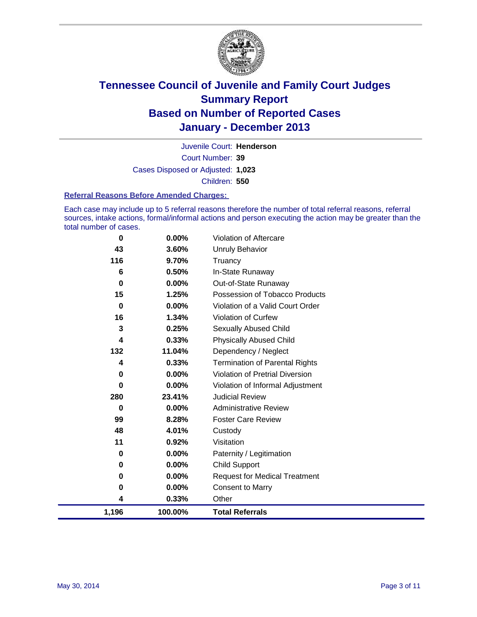

Court Number: **39** Juvenile Court: **Henderson** Cases Disposed or Adjusted: **1,023** Children: **550**

#### **Referral Reasons Before Amended Charges:**

Each case may include up to 5 referral reasons therefore the number of total referral reasons, referral sources, intake actions, formal/informal actions and person executing the action may be greater than the total number of cases.

| $\bf{0}$ | $0.00\%$ | Violation of Aftercare                 |
|----------|----------|----------------------------------------|
| 43       | 3.60%    | <b>Unruly Behavior</b>                 |
| 116      | 9.70%    | Truancy                                |
| 6        | 0.50%    | In-State Runaway                       |
| $\bf{0}$ | $0.00\%$ | Out-of-State Runaway                   |
| 15       | 1.25%    | Possession of Tobacco Products         |
| $\bf{0}$ | 0.00%    | Violation of a Valid Court Order       |
| 16       | 1.34%    | <b>Violation of Curfew</b>             |
| 3        | 0.25%    | <b>Sexually Abused Child</b>           |
| 4        | 0.33%    | <b>Physically Abused Child</b>         |
| 132      | 11.04%   | Dependency / Neglect                   |
| 4        | 0.33%    | <b>Termination of Parental Rights</b>  |
| 0        | 0.00%    | <b>Violation of Pretrial Diversion</b> |
| $\Omega$ | 0.00%    | Violation of Informal Adjustment       |
| 280      | 23.41%   | <b>Judicial Review</b>                 |
| $\bf{0}$ | $0.00\%$ | <b>Administrative Review</b>           |
| 99       | 8.28%    | <b>Foster Care Review</b>              |
| 48       | 4.01%    | Custody                                |
| 11       | 0.92%    | Visitation                             |
| 0        | 0.00%    | Paternity / Legitimation               |
| 0        | 0.00%    | <b>Child Support</b>                   |
| 0        | 0.00%    | <b>Request for Medical Treatment</b>   |
| 0        | 0.00%    | <b>Consent to Marry</b>                |
| 4        | 0.33%    | Other                                  |
| 1,196    | 100.00%  | <b>Total Referrals</b>                 |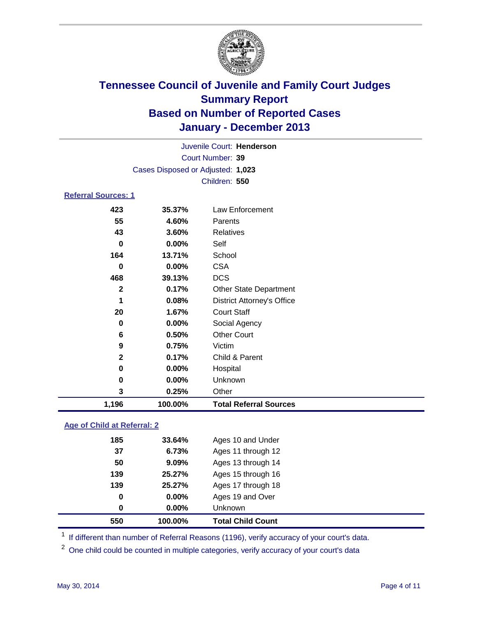

|                                   | Juvenile Court: Henderson |                                   |  |  |  |
|-----------------------------------|---------------------------|-----------------------------------|--|--|--|
|                                   | Court Number: 39          |                                   |  |  |  |
| Cases Disposed or Adjusted: 1,023 |                           |                                   |  |  |  |
|                                   | Children: 550             |                                   |  |  |  |
| <b>Referral Sources: 1</b>        |                           |                                   |  |  |  |
| 423                               | 35.37%                    | Law Enforcement                   |  |  |  |
| 55                                | 4.60%                     | Parents                           |  |  |  |
| 43                                | 3.60%                     | <b>Relatives</b>                  |  |  |  |
| 0                                 | 0.00%                     | Self                              |  |  |  |
| 164                               | 13.71%                    | School                            |  |  |  |
| 0                                 | 0.00%                     | <b>CSA</b>                        |  |  |  |
| 468                               | 39.13%                    | <b>DCS</b>                        |  |  |  |
| $\mathbf{2}$                      | 0.17%                     | <b>Other State Department</b>     |  |  |  |
| 1                                 | 0.08%                     | <b>District Attorney's Office</b> |  |  |  |
| 20                                | 1.67%                     | <b>Court Staff</b>                |  |  |  |
| 0                                 | 0.00%                     | Social Agency                     |  |  |  |
| 6                                 | 0.50%                     | <b>Other Court</b>                |  |  |  |
| 9                                 | 0.75%                     | Victim                            |  |  |  |
| $\mathbf{2}$                      | 0.17%                     | Child & Parent                    |  |  |  |
| 0                                 | 0.00%                     | Hospital                          |  |  |  |
| 0                                 | 0.00%                     | Unknown                           |  |  |  |
| 3                                 | 0.25%                     | Other                             |  |  |  |
| 1,196                             | 100.00%                   | <b>Total Referral Sources</b>     |  |  |  |

### **Age of Child at Referral: 2**

| 139<br>0<br>0 | 25.27%<br>$0.00\%$<br>0.00% | Ages 17 through 18<br>Ages 19 and Over<br><b>Unknown</b> |  |
|---------------|-----------------------------|----------------------------------------------------------|--|
|               |                             |                                                          |  |
|               |                             |                                                          |  |
|               |                             |                                                          |  |
| 139           | 25.27%                      | Ages 15 through 16                                       |  |
| 50            | 9.09%                       | Ages 13 through 14                                       |  |
| 37            | 6.73%                       | Ages 11 through 12                                       |  |
| 185           | 33.64%                      | Ages 10 and Under                                        |  |
|               |                             |                                                          |  |

<sup>1</sup> If different than number of Referral Reasons (1196), verify accuracy of your court's data.

<sup>2</sup> One child could be counted in multiple categories, verify accuracy of your court's data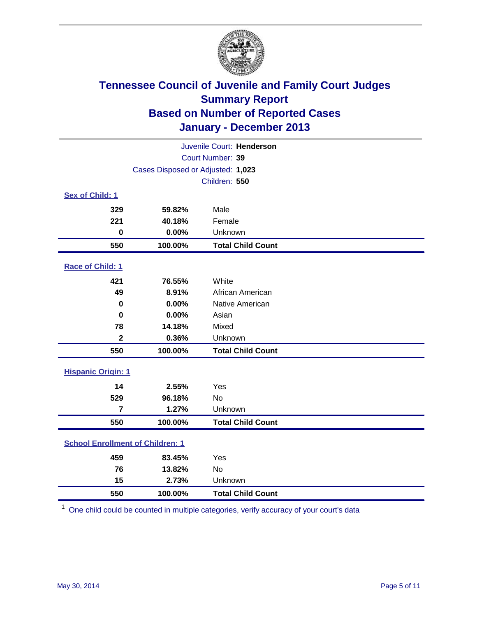

| Juvenile Court: Henderson               |                                   |                          |  |  |
|-----------------------------------------|-----------------------------------|--------------------------|--|--|
| Court Number: 39                        |                                   |                          |  |  |
|                                         | Cases Disposed or Adjusted: 1,023 |                          |  |  |
|                                         |                                   | Children: 550            |  |  |
| Sex of Child: 1                         |                                   |                          |  |  |
| 329                                     | 59.82%                            | Male                     |  |  |
| 221                                     | 40.18%                            | Female                   |  |  |
| $\bf{0}$                                | 0.00%                             | Unknown                  |  |  |
| 550                                     | 100.00%                           | <b>Total Child Count</b> |  |  |
| Race of Child: 1                        |                                   |                          |  |  |
| 421                                     | 76.55%                            | White                    |  |  |
| 49                                      | 8.91%                             | African American         |  |  |
| 0                                       | 0.00%                             | Native American          |  |  |
| 0                                       | 0.00%                             | Asian                    |  |  |
| 78                                      | 14.18%                            | Mixed                    |  |  |
| $\mathbf{2}$                            | 0.36%                             | Unknown                  |  |  |
| 550                                     | 100.00%                           | <b>Total Child Count</b> |  |  |
| <b>Hispanic Origin: 1</b>               |                                   |                          |  |  |
| 14                                      | 2.55%                             | Yes                      |  |  |
| 529                                     | 96.18%                            | No                       |  |  |
| $\overline{7}$                          | 1.27%                             | Unknown                  |  |  |
| 550                                     | 100.00%                           | <b>Total Child Count</b> |  |  |
| <b>School Enrollment of Children: 1</b> |                                   |                          |  |  |
| 459                                     | 83.45%                            | Yes                      |  |  |
| 76                                      | 13.82%                            | No                       |  |  |
| 15                                      | 2.73%                             | Unknown                  |  |  |
| 550                                     | 100.00%                           | <b>Total Child Count</b> |  |  |

One child could be counted in multiple categories, verify accuracy of your court's data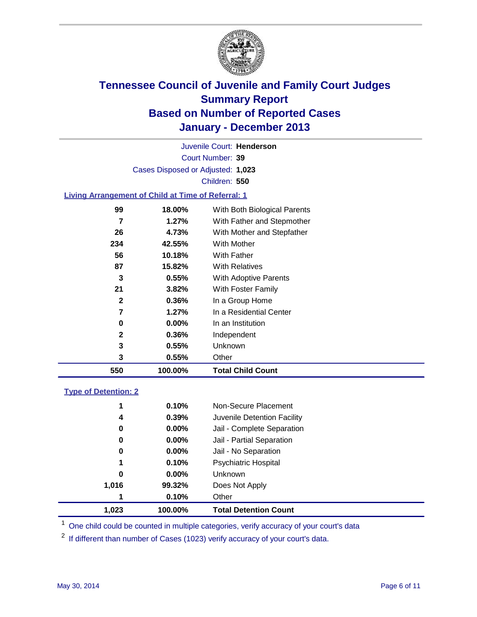

Court Number: **39** Juvenile Court: **Henderson** Cases Disposed or Adjusted: **1,023** Children: **550**

### **Living Arrangement of Child at Time of Referral: 1**

| 550          | 100.00%  | <b>Total Child Count</b>     |  |
|--------------|----------|------------------------------|--|
| 3            | 0.55%    | Other                        |  |
| 3            | 0.55%    | Unknown                      |  |
| $\mathbf{2}$ | 0.36%    | Independent                  |  |
| 0            | 0.00%    | In an Institution            |  |
| 7            | 1.27%    | In a Residential Center      |  |
| 2            | 0.36%    | In a Group Home              |  |
| 21           | 3.82%    | With Foster Family           |  |
| 3            | 0.55%    | <b>With Adoptive Parents</b> |  |
| 87           | 15.82%   | <b>With Relatives</b>        |  |
| 56           | 10.18%   | With Father                  |  |
| 234          | 42.55%   | With Mother                  |  |
| 26           | 4.73%    | With Mother and Stepfather   |  |
| 7            | $1.27\%$ | With Father and Stepmother   |  |
| 99           | 18.00%   | With Both Biological Parents |  |
|              |          |                              |  |

#### **Type of Detention: 2**

| 1,023 | 100.00%  | <b>Total Detention Count</b> |
|-------|----------|------------------------------|
| 1     | 0.10%    | Other                        |
| 1,016 | 99.32%   | Does Not Apply               |
| 0     | $0.00\%$ | <b>Unknown</b>               |
| 1     | 0.10%    | <b>Psychiatric Hospital</b>  |
| 0     | 0.00%    | Jail - No Separation         |
| 0     | 0.00%    | Jail - Partial Separation    |
| 0     | 0.00%    | Jail - Complete Separation   |
| 4     | 0.39%    | Juvenile Detention Facility  |
| 1     | 0.10%    | Non-Secure Placement         |
|       |          |                              |

<sup>1</sup> One child could be counted in multiple categories, verify accuracy of your court's data

<sup>2</sup> If different than number of Cases (1023) verify accuracy of your court's data.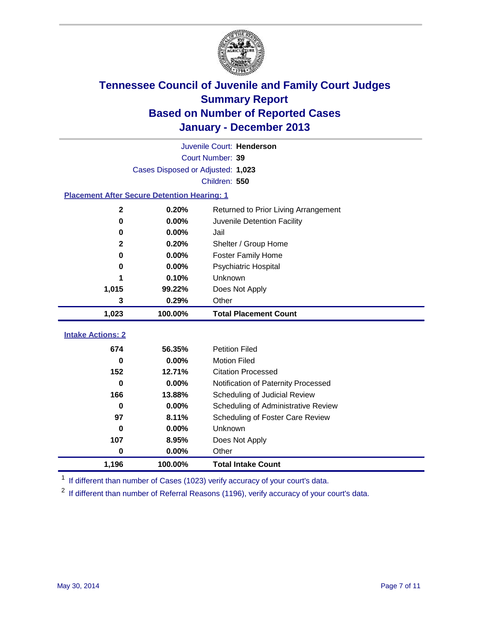

|                                                    |                                   | Juvenile Court: Henderson            |
|----------------------------------------------------|-----------------------------------|--------------------------------------|
|                                                    |                                   | Court Number: 39                     |
|                                                    | Cases Disposed or Adjusted: 1,023 |                                      |
|                                                    |                                   | Children: 550                        |
| <b>Placement After Secure Detention Hearing: 1</b> |                                   |                                      |
| $\mathbf 2$                                        | 0.20%                             | Returned to Prior Living Arrangement |
| $\mathbf 0$                                        | 0.00%                             | Juvenile Detention Facility          |
| 0                                                  | 0.00%                             | Jail                                 |
| $\mathbf{2}$                                       | 0.20%                             | Shelter / Group Home                 |
| 0                                                  | 0.00%                             | <b>Foster Family Home</b>            |
| 0                                                  | 0.00%                             | <b>Psychiatric Hospital</b>          |
| 1                                                  | 0.10%                             | Unknown                              |
| 1,015                                              | 99.22%                            | Does Not Apply                       |
| 3                                                  | 0.29%                             | Other                                |
| 1,023                                              | 100.00%                           | <b>Total Placement Count</b>         |
|                                                    |                                   |                                      |
| <b>Intake Actions: 2</b>                           |                                   |                                      |
| 674                                                | 56.35%                            | <b>Petition Filed</b>                |
| 0                                                  | 0.00%                             | <b>Motion Filed</b>                  |
| 152                                                | 12.71%                            | <b>Citation Processed</b>            |
| 0                                                  | 0.00%                             | Notification of Paternity Processed  |
| 166                                                | 13.88%                            | Scheduling of Judicial Review        |
| $\bf{0}$                                           | 0.00%                             | Scheduling of Administrative Review  |
| 97                                                 | 8.11%                             | Scheduling of Foster Care Review     |
| 0                                                  | 0.00%                             | Unknown                              |
| 107                                                | 8.95%                             | Does Not Apply                       |
| 0                                                  | 0.00%                             | Other                                |
| 1,196                                              | 100.00%                           | <b>Total Intake Count</b>            |

<sup>1</sup> If different than number of Cases (1023) verify accuracy of your court's data.

 $2$  If different than number of Referral Reasons (1196), verify accuracy of your court's data.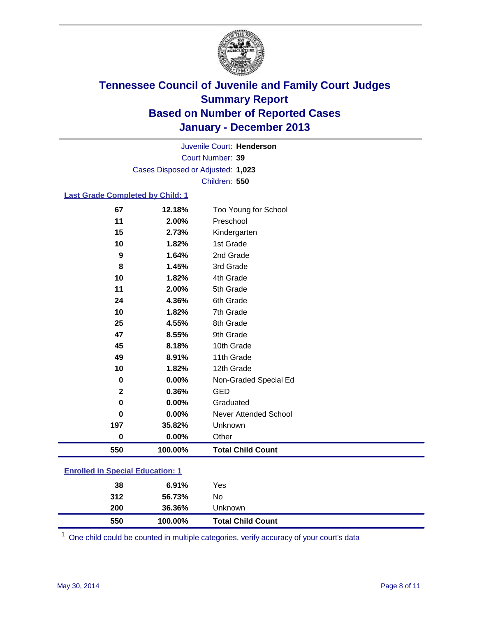

Court Number: **39** Juvenile Court: **Henderson** Cases Disposed or Adjusted: **1,023** Children: **550**

### **Last Grade Completed by Child: 1**

| 11           | 2.00%   | Preschool                |
|--------------|---------|--------------------------|
| 15           | 2.73%   | Kindergarten             |
| 10           | 1.82%   | 1st Grade                |
| 9            | 1.64%   | 2nd Grade                |
| 8            | 1.45%   | 3rd Grade                |
| 10           | 1.82%   | 4th Grade                |
| 11           | 2.00%   | 5th Grade                |
| 24           | 4.36%   | 6th Grade                |
| 10           | 1.82%   | 7th Grade                |
| 25           | 4.55%   | 8th Grade                |
| 47           | 8.55%   | 9th Grade                |
| 45           | 8.18%   | 10th Grade               |
| 49           | 8.91%   | 11th Grade               |
| 10           | 1.82%   | 12th Grade               |
| 0            | 0.00%   | Non-Graded Special Ed    |
| $\mathbf{2}$ | 0.36%   | <b>GED</b>               |
| 0            | 0.00%   | Graduated                |
| $\bf{0}$     | 0.00%   | Never Attended School    |
| 197          | 35.82%  | Unknown                  |
| $\bf{0}$     | 0.00%   | Other                    |
| 550          | 100.00% | <b>Total Child Count</b> |

|  | <b>Enrolled in Special Education: 1</b> |
|--|-----------------------------------------|
|  |                                         |

| 550 | 100.00% | <b>Total Child Count</b> |  |
|-----|---------|--------------------------|--|
| 200 | 36.36%  | Unknown                  |  |
| 312 | 56.73%  | No                       |  |
| 38  | 6.91%   | Yes                      |  |
|     |         |                          |  |

One child could be counted in multiple categories, verify accuracy of your court's data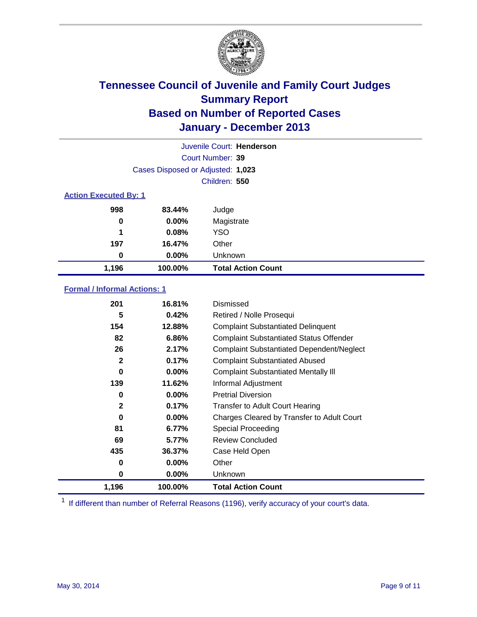

|                              |                                   | Juvenile Court: Henderson |  |
|------------------------------|-----------------------------------|---------------------------|--|
|                              |                                   | Court Number: 39          |  |
|                              | Cases Disposed or Adjusted: 1,023 |                           |  |
|                              |                                   | Children: 550             |  |
| <b>Action Executed By: 1</b> |                                   |                           |  |
| 998                          | 83.44%                            | Judge                     |  |
| 0                            | $0.00\%$                          | Magistrate                |  |
| 1                            | 0.08%                             | <b>YSO</b>                |  |
| 197                          | 16.47%                            | Other                     |  |
| 0                            | $0.00\%$                          | Unknown                   |  |
| 1,196                        | 100.00%                           | <b>Total Action Count</b> |  |

### **Formal / Informal Actions: 1**

| 201          | 16.81%   | Dismissed                                        |
|--------------|----------|--------------------------------------------------|
| 5            | 0.42%    | Retired / Nolle Prosequi                         |
| 154          | 12.88%   | <b>Complaint Substantiated Delinquent</b>        |
| 82           | 6.86%    | <b>Complaint Substantiated Status Offender</b>   |
| 26           | 2.17%    | <b>Complaint Substantiated Dependent/Neglect</b> |
| $\mathbf{2}$ | 0.17%    | <b>Complaint Substantiated Abused</b>            |
| 0            | $0.00\%$ | <b>Complaint Substantiated Mentally III</b>      |
| 139          | 11.62%   | Informal Adjustment                              |
| 0            | $0.00\%$ | <b>Pretrial Diversion</b>                        |
| $\mathbf{2}$ | 0.17%    | <b>Transfer to Adult Court Hearing</b>           |
| 0            | $0.00\%$ | Charges Cleared by Transfer to Adult Court       |
| 81           | 6.77%    | Special Proceeding                               |
| 69           | 5.77%    | <b>Review Concluded</b>                          |
| 435          | 36.37%   | Case Held Open                                   |
| 0            | $0.00\%$ | Other                                            |
| 0            | $0.00\%$ | <b>Unknown</b>                                   |
| 1,196        | 100.00%  | <b>Total Action Count</b>                        |

<sup>1</sup> If different than number of Referral Reasons (1196), verify accuracy of your court's data.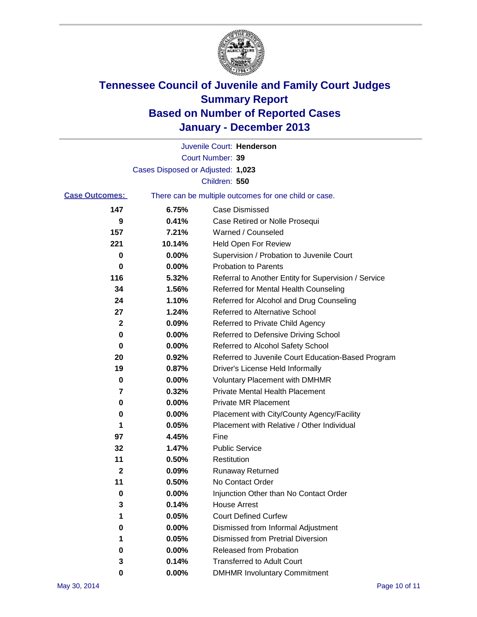

|                       |                                   | Juvenile Court: Henderson                             |
|-----------------------|-----------------------------------|-------------------------------------------------------|
|                       |                                   | Court Number: 39                                      |
|                       | Cases Disposed or Adjusted: 1,023 |                                                       |
|                       |                                   | Children: 550                                         |
| <b>Case Outcomes:</b> |                                   | There can be multiple outcomes for one child or case. |
| 147                   | 6.75%                             | Case Dismissed                                        |
| 9                     | 0.41%                             | Case Retired or Nolle Prosequi                        |
| 157                   | 7.21%                             | Warned / Counseled                                    |
| 221                   | 10.14%                            | <b>Held Open For Review</b>                           |
| 0                     | 0.00%                             | Supervision / Probation to Juvenile Court             |
| 0                     | 0.00%                             | <b>Probation to Parents</b>                           |
| 116                   | 5.32%                             | Referral to Another Entity for Supervision / Service  |
| 34                    | 1.56%                             | Referred for Mental Health Counseling                 |
| 24                    | 1.10%                             | Referred for Alcohol and Drug Counseling              |
| 27                    | 1.24%                             | Referred to Alternative School                        |
| 2                     | 0.09%                             | Referred to Private Child Agency                      |
| 0                     | 0.00%                             | Referred to Defensive Driving School                  |
| 0                     | 0.00%                             | Referred to Alcohol Safety School                     |
| 20                    | 0.92%                             | Referred to Juvenile Court Education-Based Program    |
| 19                    | 0.87%                             | Driver's License Held Informally                      |
| 0                     | 0.00%                             | <b>Voluntary Placement with DMHMR</b>                 |
| 7                     | 0.32%                             | <b>Private Mental Health Placement</b>                |
| 0                     | 0.00%                             | Private MR Placement                                  |
| 0                     | 0.00%                             | Placement with City/County Agency/Facility            |
| 1                     | 0.05%                             | Placement with Relative / Other Individual            |
| 97                    | 4.45%                             | Fine                                                  |
| 32                    | 1.47%                             | <b>Public Service</b>                                 |
| 11                    | 0.50%                             | Restitution                                           |
| 2                     | 0.09%                             | <b>Runaway Returned</b>                               |
| 11                    | 0.50%                             | No Contact Order                                      |
| 0                     | 0.00%                             | Injunction Other than No Contact Order                |
| 3                     | 0.14%                             | <b>House Arrest</b>                                   |
| 1                     | 0.05%                             | <b>Court Defined Curfew</b>                           |
| 0                     | 0.00%                             | Dismissed from Informal Adjustment                    |
| 1                     | 0.05%                             | <b>Dismissed from Pretrial Diversion</b>              |
| 0                     | 0.00%                             | Released from Probation                               |
| 3                     | 0.14%                             | <b>Transferred to Adult Court</b>                     |
| 0                     | $0.00\%$                          | <b>DMHMR Involuntary Commitment</b>                   |